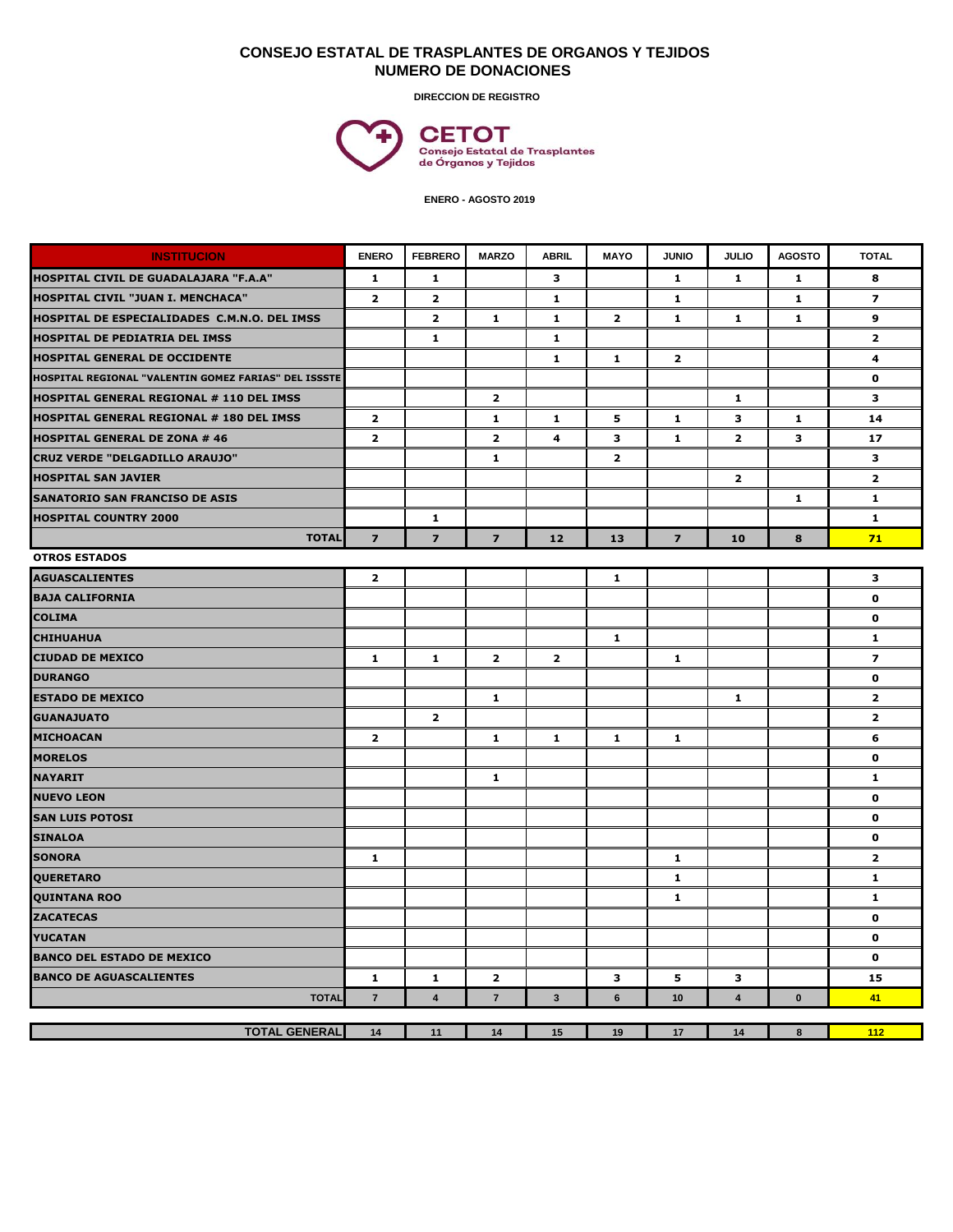## **CONSEJO ESTATAL DE TRASPLANTES DE ORGANOS Y TEJIDOS NUMERO DE DONACIONES**

**DIRECCION DE REGISTRO**



 **ENERO - AGOSTO 2019**

| <b>INSTITUCION</b>                                   | <b>ENERO</b>   | <b>FEBRERO</b>          | <b>MARZO</b>   | <b>ABRIL</b>   | <b>MAYO</b>    | <b>JUNIO</b>   | <b>JULIO</b>   | <b>AGOSTO</b> | <b>TOTAL</b>            |
|------------------------------------------------------|----------------|-------------------------|----------------|----------------|----------------|----------------|----------------|---------------|-------------------------|
| HOSPITAL CIVIL DE GUADALAJARA "F.A.A"                | $\mathbf{1}$   | 1                       |                | 3              |                | 1              | $\mathbf{1}$   | $\mathbf{1}$  | 8                       |
| <b>HOSPITAL CIVIL "JUAN I. MENCHACA"</b>             | $\overline{2}$ | $\overline{2}$          |                | 1.             |                | 1              |                | 1.            | $\overline{\mathbf{z}}$ |
| HOSPITAL DE ESPECIALIDADES C.M.N.O. DEL IMSS         |                | $\mathbf{2}$            | 1              | 1              | $\overline{2}$ | 1              | 1              | 1             | 9                       |
| HOSPITAL DE PEDIATRIA DEL IMSS                       |                | 1                       |                | 1              |                |                |                |               | $\overline{\mathbf{2}}$ |
| HOSPITAL GENERAL DE OCCIDENTE                        |                |                         |                | $\mathbf{1}$   | $\mathbf{1}$   | $\overline{2}$ |                |               | 4                       |
| HOSPITAL REGIONAL "VALENTIN GOMEZ FARIAS" DEL ISSSTE |                |                         |                |                |                |                |                |               | 0                       |
| HOSPITAL GENERAL REGIONAL # 110 DEL IMSS             |                |                         | $\mathbf{2}$   |                |                |                | $\mathbf{1}$   |               | 3                       |
| HOSPITAL GENERAL REGIONAL # 180 DEL IMSS             | $\mathbf{2}$   |                         | 1              | 1              | 5              | 1              | 3              | 1             | 14                      |
| <b>HOSPITAL GENERAL DE ZONA # 46</b>                 | $\overline{2}$ |                         | $\overline{2}$ | 4              | 3              | $\mathbf{1}$   | $\overline{2}$ | 3             | 17                      |
| <b>CRUZ VERDE "DELGADILLO ARAUJO"</b>                |                |                         | 1              |                | $\overline{2}$ |                |                |               | 3                       |
| <b>HOSPITAL SAN JAVIER</b>                           |                |                         |                |                |                |                | $\overline{2}$ |               | $\overline{2}$          |
| <b>SANATORIO SAN FRANCISO DE ASIS</b>                |                |                         |                |                |                |                |                | 1             | 1                       |
| <b>HOSPITAL COUNTRY 2000</b>                         |                | $\mathbf{1}$            |                |                |                |                |                |               | 1                       |
| <b>TOTAL</b>                                         | $\overline{7}$ | $\overline{z}$          | $\overline{7}$ | 12             | 13             | $\overline{7}$ | 10             | 8             | 71                      |
| <b>OTROS ESTADOS</b>                                 |                |                         |                |                |                |                |                |               |                         |
| <b>AGUASCALIENTES</b>                                | $\mathbf{2}$   |                         |                |                | $\mathbf{1}$   |                |                |               | з                       |
| <b>BAJA CALIFORNIA</b>                               |                |                         |                |                |                |                |                |               | $\mathbf 0$             |
| <b>COLIMA</b>                                        |                |                         |                |                |                |                |                |               | 0                       |
| <b>CHIHUAHUA</b>                                     |                |                         |                |                | 1              |                |                |               | 1                       |
| <b>CIUDAD DE MEXICO</b>                              | $\mathbf{1}$   | 1                       | $\overline{2}$ | $\overline{2}$ |                | 1              |                |               | $\overline{\mathbf{z}}$ |
| <b>DURANGO</b>                                       |                |                         |                |                |                |                |                |               | 0                       |
| <b>ESTADO DE MEXICO</b>                              |                |                         | 1              |                |                |                | $\mathbf{1}$   |               | $\overline{2}$          |
| <b>GUANAJUATO</b>                                    |                | $\mathbf{2}$            |                |                |                |                |                |               | $\overline{2}$          |
| <b>MICHOACAN</b>                                     | $\mathbf{2}$   |                         | 1              | 1              | 1              | 1              |                |               | 6                       |
| <b>MORELOS</b>                                       |                |                         |                |                |                |                |                |               | $\mathbf{0}$            |
| <b>NAYARIT</b>                                       |                |                         | 1              |                |                |                |                |               | 1                       |
| <b>NUEVO LEON</b>                                    |                |                         |                |                |                |                |                |               | $\mathbf 0$             |
| <b>SAN LUIS POTOSI</b>                               |                |                         |                |                |                |                |                |               | $\mathbf 0$             |
| <b>SINALOA</b>                                       |                |                         |                |                |                |                |                |               | 0                       |
| <b>SONORA</b>                                        | $\mathbf{1}$   |                         |                |                |                | 1              |                |               | $\overline{2}$          |
| <b>QUERETARO</b>                                     |                |                         |                |                |                | $\mathbf{1}$   |                |               | $\mathbf{1}$            |
| <b>QUINTANA ROO</b>                                  |                |                         |                |                |                | 1              |                |               | 1                       |
| <b>ZACATECAS</b>                                     |                |                         |                |                |                |                |                |               | 0                       |
| <b>YUCATAN</b>                                       |                |                         |                |                |                |                |                |               | $\mathbf 0$             |
| <b>BANCO DEL ESTADO DE MEXICO</b>                    |                |                         |                |                |                |                |                |               | $\mathbf 0$             |
| <b>BANCO DE AGUASCALIENTES</b>                       | 1              | 1                       | 2              |                | з              | 5              | 3              |               | 15                      |
| <b>TOTAL</b>                                         | $\overline{7}$ | $\overline{\mathbf{4}}$ | $\overline{7}$ | $\mathbf{3}$   | 6              | 10             | $\overline{4}$ | $\mathbf{0}$  | 41                      |
|                                                      |                |                         |                |                |                |                |                |               |                         |
| <b>TOTAL GENERAL</b>                                 | 14             | 11                      | 14             | 15             | 19             | 17             | 14             | 8             | 112                     |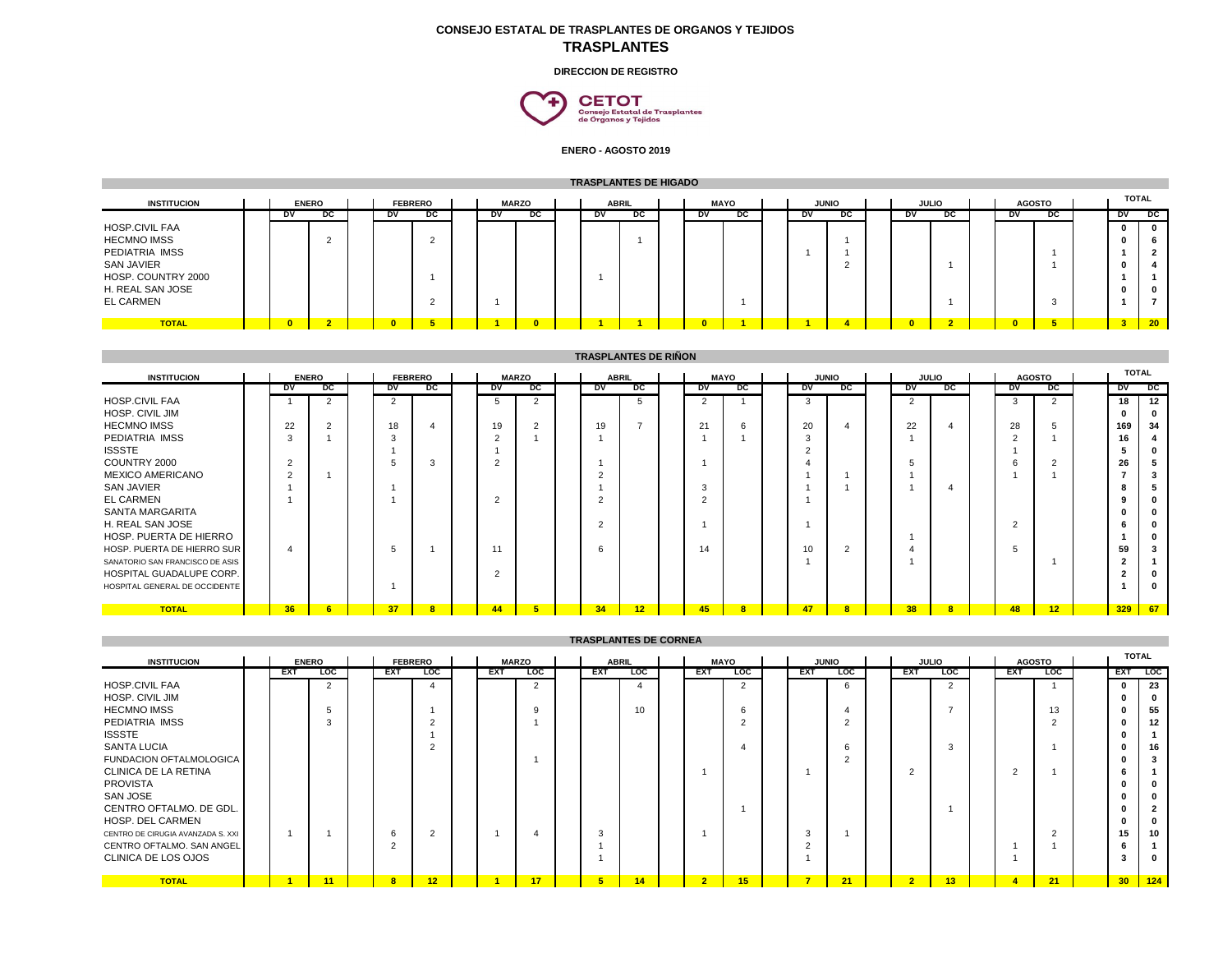## **CONSEJO ESTATAL DE TRASPLANTES DE ORGANOS Y TEJIDOS TRASPLANTES**

**DIRECCION DE REGISTRO**



**ENERO - AGOSTO 2019**

| <b>TRASPLANTES DE HIGADO</b>                                  |  |                |              |  |                |    |  |              |    |  |              |    |  |             |    |           |              |    |              |           |               |              |    |
|---------------------------------------------------------------|--|----------------|--------------|--|----------------|----|--|--------------|----|--|--------------|----|--|-------------|----|-----------|--------------|----|--------------|-----------|---------------|--------------|----|
| <b>INSTITUCION</b>                                            |  |                | <b>ENERO</b> |  | <b>FEBRERO</b> |    |  | <b>MARZO</b> |    |  | <b>ABRIL</b> |    |  | <b>MAYO</b> |    |           | <b>JUNIO</b> |    | <b>JULIO</b> |           | <b>AGOSTO</b> | <b>TOTAL</b> |    |
|                                                               |  | DV             | pc           |  | <b>DV</b>      | pc |  | DV           | pc |  | DV           | pc |  | DV          | pc | <b>DV</b> | pc           | DV | DC           | <b>DV</b> | DC            | DV           | pc |
| <b>HOSP.CIVIL FAA</b><br><b>HECMNO IMSS</b><br>PEDIATRIA IMSS |  |                |              |  |                |    |  |              |    |  |              |    |  |             |    |           |              |    |              |           |               |              |    |
| <b>SAN JAVIER</b><br>HOSP. COUNTRY 2000<br>H. REAL SAN JOSE   |  |                |              |  |                |    |  |              |    |  |              |    |  |             |    |           |              |    |              |           |               |              |    |
| EL CARMEN                                                     |  |                |              |  |                |    |  |              |    |  |              |    |  |             |    |           |              |    |              |           |               |              |    |
| <b>TOTAL</b>                                                  |  | $\overline{ }$ | $\sim$       |  |                |    |  |              |    |  |              |    |  | $\sqrt{2}$  |    |           |              |    |              |           |               |              | 20 |

| <b>INSTITUCION</b>              |  |                 | <b>ENERO</b>   |  |                | <b>FEBRERO</b> |  |           | <b>MARZO</b>   |  |               | <b>ABRIL</b> |  |                | <b>MAYO</b>             |              | <b>JUNIO</b>            |                | <b>JULIO</b>            |                | <b>AGOSTO</b> | TOTAL |    |
|---------------------------------|--|-----------------|----------------|--|----------------|----------------|--|-----------|----------------|--|---------------|--------------|--|----------------|-------------------------|--------------|-------------------------|----------------|-------------------------|----------------|---------------|-------|----|
|                                 |  | DV              | pc             |  | <b>DV</b>      | pc             |  | <b>DV</b> | DC             |  | DV            | pc           |  | DV             | pc                      | DV           | DC                      | DV             | DC                      | <b>DV</b>      | DC            | DV    | pc |
| <b>HOSP.CIVIL FAA</b>           |  |                 | $\overline{2}$ |  | $\overline{2}$ |                |  | 5         | $\overline{2}$ |  |               | 5            |  | $\overline{2}$ |                         | 3            |                         | $\overline{2}$ |                         | 3              | 2             | 18    | 12 |
| <b>HOSP. CIVIL JIM</b>          |  |                 |                |  |                |                |  |           |                |  |               |              |  |                |                         |              |                         |                |                         |                |               |       |    |
| <b>HECMNO IMSS</b>              |  | 22              | 2              |  | 18             |                |  | 19        |                |  | 19            |              |  | 21             | 6                       | 20           |                         | 22             |                         | 28             |               | 169   | 34 |
| PEDIATRIA IMSS                  |  | $\sim$          |                |  | 3              |                |  | $\Omega$  |                |  |               |              |  |                |                         | $\sim$<br>-3 |                         |                |                         | $\sim$         |               | 16    |    |
| <b>ISSSTE</b>                   |  |                 |                |  |                |                |  |           |                |  |               |              |  |                |                         | $\sqrt{2}$   |                         |                |                         |                |               |       |    |
| COUNTRY 2000                    |  | $\sim$          |                |  |                | 3              |  | $\Omega$  |                |  |               |              |  |                |                         |              |                         |                |                         | 6              | $\Omega$      | 26    |    |
| <b>MEXICO AMERICANO</b>         |  | ົ               |                |  |                |                |  |           |                |  |               |              |  |                |                         |              |                         |                |                         |                |               |       |    |
| <b>SAN JAVIER</b>               |  |                 |                |  |                |                |  |           |                |  |               |              |  |                |                         |              |                         |                |                         |                |               |       |    |
| <b>EL CARMEN</b>                |  |                 |                |  |                |                |  | $\sim$    |                |  | $\sim$        |              |  | $\sim$         |                         |              |                         |                |                         |                |               |       |    |
| <b>SANTA MARGARITA</b>          |  |                 |                |  |                |                |  |           |                |  |               |              |  |                |                         |              |                         |                |                         |                |               |       |    |
| H. REAL SAN JOSE                |  |                 |                |  |                |                |  |           |                |  | $\mathcal{D}$ |              |  |                |                         |              |                         |                |                         | $\overline{2}$ |               |       |    |
| HOSP. PUERTA DE HIERRO          |  |                 |                |  |                |                |  |           |                |  |               |              |  |                |                         |              |                         |                |                         |                |               |       |    |
| HOSP. PUERTA DE HIERRO SUR      |  | 4               |                |  | 5              |                |  |           |                |  | 6             |              |  | 14             |                         | 10           | $\overline{2}$          |                |                         | 5              |               | 59    |    |
| SANATORIO SAN FRANCISCO DE ASIS |  |                 |                |  |                |                |  |           |                |  |               |              |  |                |                         |              |                         |                |                         |                |               |       |    |
| HOSPITAL GUADALUPE CORP.        |  |                 |                |  |                |                |  | ົ         |                |  |               |              |  |                |                         |              |                         |                |                         |                |               |       |    |
| HOSPITAL GENERAL DE OCCIDENTE   |  |                 |                |  |                |                |  |           |                |  |               |              |  |                |                         |              |                         |                |                         |                |               |       |    |
|                                 |  |                 |                |  |                |                |  |           |                |  |               |              |  |                |                         |              |                         |                |                         |                |               |       |    |
| <b>TOTAL</b>                    |  | 36 <sub>2</sub> | 6              |  | 37             | $\overline{8}$ |  | 44        |                |  | 34            | 12           |  | 45             | $\overline{\mathbf{8}}$ | 47           | $\overline{\mathbf{8}}$ | 38             | $\overline{\mathbf{8}}$ | 48             | 12            | 329   | 67 |

| <b>IRASPLANIES DE CORNEA</b>      |  |     |                |  |                |                |  |            |                |  |                |            |  |                |                |                |                |                |                |                |               |              |              |
|-----------------------------------|--|-----|----------------|--|----------------|----------------|--|------------|----------------|--|----------------|------------|--|----------------|----------------|----------------|----------------|----------------|----------------|----------------|---------------|--------------|--------------|
| <b>INSTITUCION</b>                |  |     | <b>ENERO</b>   |  |                | <b>FEBRERO</b> |  |            | <b>MARZO</b>   |  | <b>ABRIL</b>   |            |  |                | <b>MAYO</b>    |                | <b>JUNIO</b>   |                | <b>JULIO</b>   |                | <b>AGOSTO</b> |              | <b>TOTAL</b> |
|                                   |  | EXT | <b>LOC</b>     |  | <b>EXT</b>     | <b>LOC</b>     |  | <b>EXT</b> | <b>LOC</b>     |  | <b>EXT</b>     | <b>LOC</b> |  | <b>EXT</b>     | <b>LOC</b>     | <b>EXT</b>     | <b>LOC</b>     | <b>EXT</b>     | <b>LOC</b>     | <b>EXT</b>     | <b>LOC</b>    |              | EXT LOC      |
| <b>HOSP.CIVIL FAA</b>             |  |     | $\overline{2}$ |  |                |                |  |            | $\overline{2}$ |  |                | 4          |  |                | $\mathfrak{p}$ |                | 6              |                | $\overline{2}$ |                |               | $\mathbf{0}$ | 23           |
| <b>HOSP. CIVIL JIM</b>            |  |     |                |  |                |                |  |            |                |  |                |            |  |                |                |                |                |                |                |                |               | 0            |              |
| <b>HECMNO IMSS</b>                |  |     |                |  |                |                |  |            | 9              |  |                | 10         |  |                | 6              |                |                |                |                |                | 13            | 0            | 55           |
| PEDIATRIA IMSS                    |  |     |                |  |                |                |  |            |                |  |                |            |  |                |                |                | $\overline{2}$ |                |                |                |               | 0            | 12           |
| <b>ISSSTE</b>                     |  |     |                |  |                |                |  |            |                |  |                |            |  |                |                |                |                |                |                |                |               | o            |              |
| <b>SANTA LUCIA</b>                |  |     |                |  |                |                |  |            |                |  |                |            |  |                |                |                | 6              |                | 3              |                |               | 0            | 16           |
| FUNDACION OFTALMOLOGICA           |  |     |                |  |                |                |  |            |                |  |                |            |  |                |                |                | $\overline{2}$ |                |                |                |               | o            |              |
| CLINICA DE LA RETINA              |  |     |                |  |                |                |  |            |                |  |                |            |  |                |                |                |                |                |                | $\sim$<br>∠    |               | b            |              |
| <b>PROVISTA</b>                   |  |     |                |  |                |                |  |            |                |  |                |            |  |                |                |                |                |                |                |                |               | 0            |              |
| SAN JOSE                          |  |     |                |  |                |                |  |            |                |  |                |            |  |                |                |                |                |                |                |                |               |              |              |
| CENTRO OFTALMO. DE GDL.           |  |     |                |  |                |                |  |            |                |  |                |            |  |                |                |                |                |                |                |                |               |              |              |
| HOSP, DEL CARMEN                  |  |     |                |  |                |                |  |            |                |  |                |            |  |                |                |                |                |                |                |                |               |              |              |
| CENTRO DE CIRUGIA AVANZADA S. XXI |  |     |                |  | 6              | $\overline{2}$ |  |            |                |  | 3              |            |  |                |                | $\sim$<br>-3   |                |                |                |                |               | 15           | 10           |
| CENTRO OFTALMO. SAN ANGEL         |  |     |                |  | $\overline{c}$ |                |  |            |                |  |                |            |  |                |                |                |                |                |                |                |               | n            |              |
| CLINICA DE LOS OJOS               |  |     |                |  |                |                |  |            |                |  |                |            |  |                |                |                |                |                |                |                |               | 3            | - 0          |
| <b>TOTAL</b>                      |  |     | 11             |  | 8              | 12             |  |            | 17             |  | 5 <sup>5</sup> | 14         |  | 2 <sup>1</sup> | 15             | $\overline{7}$ | 21             | $\overline{2}$ | 13             | $\overline{4}$ | 21            |              | $30$   124   |

**TRASPLANTES DE CORNEA**

## **TRASPLANTES DE RIÑON**